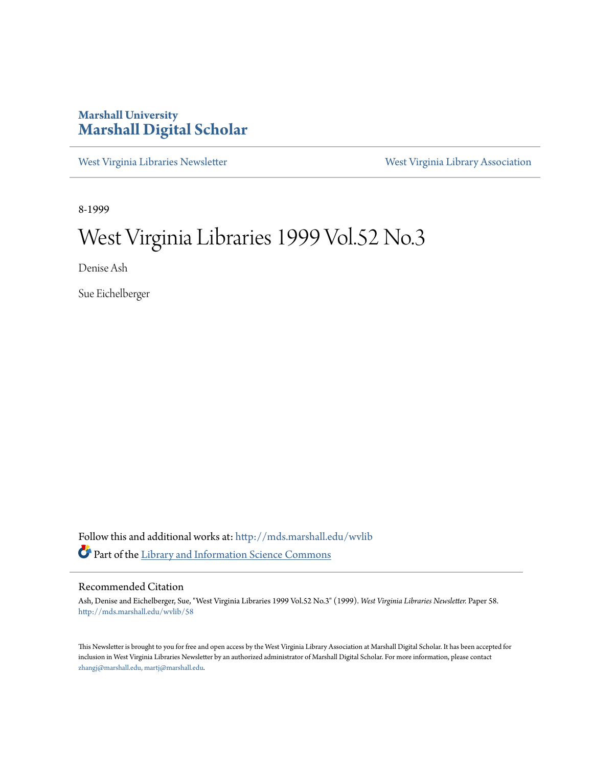### **Marshall University [Marshall Digital Scholar](http://mds.marshall.edu?utm_source=mds.marshall.edu%2Fwvlib%2F58&utm_medium=PDF&utm_campaign=PDFCoverPages)**

[West Virginia Libraries Newsletter](http://mds.marshall.edu/wvlib?utm_source=mds.marshall.edu%2Fwvlib%2F58&utm_medium=PDF&utm_campaign=PDFCoverPages) [West Virginia Library Association](http://mds.marshall.edu/wvla?utm_source=mds.marshall.edu%2Fwvlib%2F58&utm_medium=PDF&utm_campaign=PDFCoverPages)

8-1999

## West Virginia Libraries 1999 Vol.52 No.3

Denise Ash

Sue Eichelberger

Follow this and additional works at: [http://mds.marshall.edu/wvlib](http://mds.marshall.edu/wvlib?utm_source=mds.marshall.edu%2Fwvlib%2F58&utm_medium=PDF&utm_campaign=PDFCoverPages) Part of the [Library and Information Science Commons](http://network.bepress.com/hgg/discipline/1018?utm_source=mds.marshall.edu%2Fwvlib%2F58&utm_medium=PDF&utm_campaign=PDFCoverPages)

#### Recommended Citation

Ash, Denise and Eichelberger, Sue, "West Virginia Libraries 1999 Vol.52 No.3" (1999). *West Virginia Libraries Newsletter.* Paper 58. [http://mds.marshall.edu/wvlib/58](http://mds.marshall.edu/wvlib/58?utm_source=mds.marshall.edu%2Fwvlib%2F58&utm_medium=PDF&utm_campaign=PDFCoverPages)

This Newsletter is brought to you for free and open access by the West Virginia Library Association at Marshall Digital Scholar. It has been accepted for inclusion in West Virginia Libraries Newsletter by an authorized administrator of Marshall Digital Scholar. For more information, please contact [zhangj@marshall.edu, martj@marshall.edu](mailto:zhangj@marshall.edu,%20martj@marshall.edu).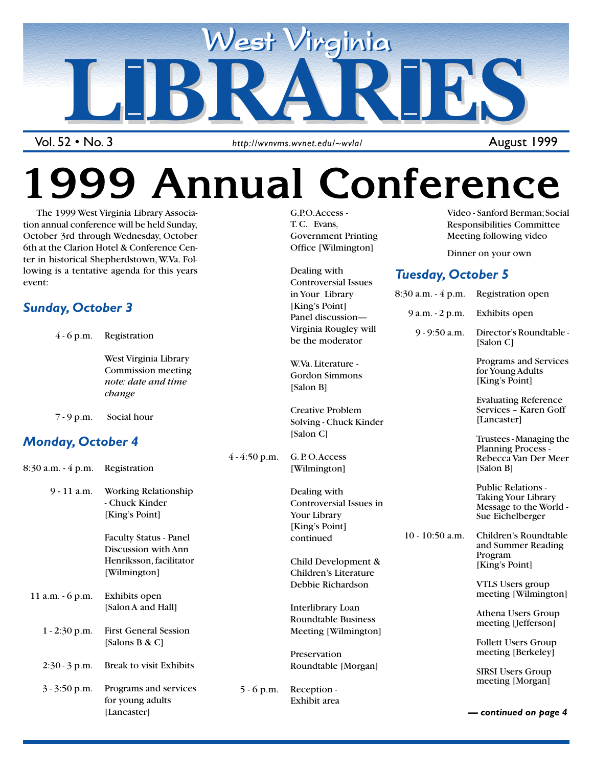

Vol. 52 • No. 3

http://wvnvms.wvnet.edu/~wvla/ and and application of the August 1999

# **99 Annual Conference**

 The 1999 West Virginia Library Association annual conference will be held Sunday, October 3rd through Wednesday, October 6th at the Clarion Hotel & Conference Center in historical Shepherdstown, W.Va. Following is a tentative agenda for this years event:

### *Sunday, October 3*

4 - 6 p.m. Registration

West Virginia Library Commission meeting *note: date and time change*

7 - 9 p.m. Social hour

### *Monday, October 4*

|                    |                                                | $4 - 4.50$ p.m. | G. P. O. ACCESS            |
|--------------------|------------------------------------------------|-----------------|----------------------------|
| 8:30 a.m. - 4 p.m. | Registration                                   |                 | [Wilmington]               |
| 9 - 11 a.m.        | Working Relationship                           |                 | Dealing with               |
|                    | - Chuck Kinder                                 |                 | <b>Controversial Issue</b> |
|                    | [King's Point]                                 |                 | Your Library               |
|                    |                                                |                 | [King's Point]             |
|                    | <b>Faculty Status - Panel</b>                  |                 | continued                  |
|                    | Discussion with Ann                            |                 |                            |
|                    | Henriksson, facilitator                        |                 | Child Developmen           |
|                    | [Wilmington]                                   |                 | Children's Literatur       |
|                    |                                                |                 | Debbie Richardson          |
| 11 a.m. $-6$ p.m.  | Exhibits open                                  |                 |                            |
|                    | [Salon A and Hall]                             |                 | Interlibrary Loan          |
|                    |                                                |                 | Roundtable Busine          |
| $1 - 2:30$ p.m.    | <b>First General Session</b><br>[Salons B & C] |                 | Meeting [Wilmingt          |
|                    |                                                |                 | Preservation               |
| $2:30 - 3$ p.m.    | Break to visit Exhibits                        |                 | Roundtable [Morga          |
| $3 - 3:50$ p.m.    | Programs and services                          | $5 - 6$ p.m.    | Reception -                |
|                    | for young adults<br>[Lancaster]                |                 | Exhibit area               |

G.P.O. Access - T. C. Evans, Government Printing Office [Wilmington]

Dealing with Controversial Issues in Your Library [King's Point] Panel discussion— Virginia Rougley will Video - Sanford Berman; Social Responsibilities Committee Meeting following video

Dinner on your own

### *Tuesday, October 5*

|                 | in Your Library                                                         | $8:30$ a.m. $-4$ p.m. | Registration open                                                                              |
|-----------------|-------------------------------------------------------------------------|-----------------------|------------------------------------------------------------------------------------------------|
| $4 - 4:50$ p.m. | [King's Point]<br>Panel discussion-                                     | 9 a.m. - 2 p.m.       | Exhibits open                                                                                  |
|                 | Virginia Rougley will<br>be the moderator                               | $9 - 9:50$ a.m.       | Director's Roundtable -<br>[Salon C]                                                           |
|                 | W.Va. Literature -<br><b>Gordon Simmons</b><br>[Salon B]                |                       | Programs and Services<br>for Young Adults<br>[King's Point]                                    |
|                 | <b>Creative Problem</b><br>Solving - Chuck Kinder                       |                       | <b>Evaluating Reference</b><br>Services - Karen Goff<br>[Lancaster]                            |
|                 | [Salon C]<br>G. P.O. Access<br>[Wilmington]                             |                       | Trustees - Managing the<br><b>Planning Process -</b><br>Rebecca Van Der Meer<br>[Salon B]      |
|                 | Dealing with<br>Controversial Issues in<br>Your Library                 |                       | <b>Public Relations -</b><br>Taking Your Library<br>Message to the World -<br>Sue Eichelberger |
|                 | [King's Point]<br>continued                                             | $10 - 10:50$ a.m.     | Children's Roundtable<br>and Summer Reading                                                    |
|                 | Child Development &<br>Children's Literature                            |                       | Program<br>[King's Point]                                                                      |
|                 | Debbie Richardson                                                       |                       | VTLS Users group<br>meeting [Wilmington]                                                       |
|                 | Interlibrary Loan<br><b>Roundtable Business</b><br>Meeting [Wilmington] |                       | Athena Users Group<br>meeting [Jefferson]                                                      |
|                 | Preservation                                                            |                       | <b>Follett Users Group</b><br>meeting [Berkeley]                                               |
|                 | Roundtable [Morgan]                                                     |                       | <b>SIRSI Users Group</b><br>meeting [Morgan]                                                   |
| $5 - 6$ p.m.    | Reception -<br>Exhibit area                                             |                       |                                                                                                |

1 August 1999

*— continued on page 4*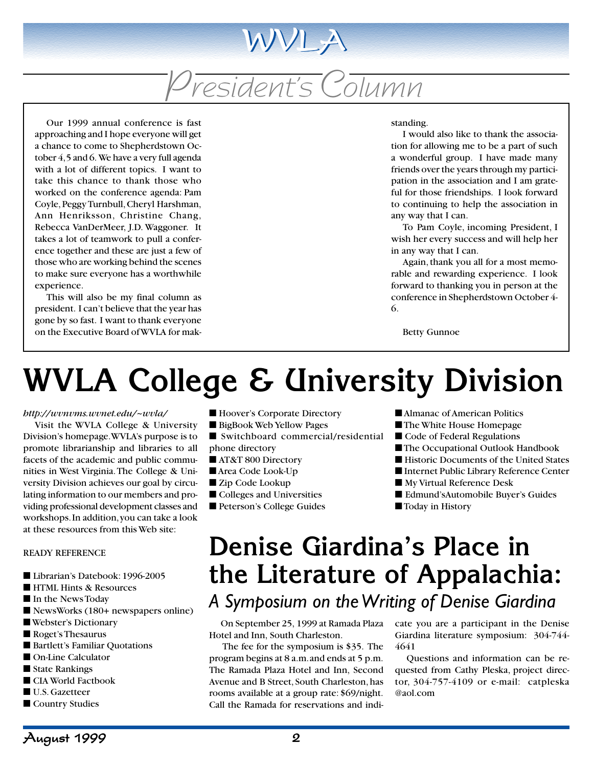# President's Column

WVLA

Our 1999 annual conference is fast approaching and I hope everyone will get a chance to come to Shepherdstown October 4, 5 and 6. We have a very full agenda with a lot of different topics. I want to take this chance to thank those who worked on the conference agenda: Pam Coyle, Peggy Turnbull, Cheryl Harshman, Ann Henriksson, Christine Chang, Rebecca VanDerMeer, J.D. Waggoner. It takes a lot of teamwork to pull a conference together and these are just a few of those who are working behind the scenes to make sure everyone has a worthwhile experience.

This will also be my final column as president. I can't believe that the year has gone by so fast. I want to thank everyone on the Executive Board of WVLA for mak-

#### standing.

I would also like to thank the association for allowing me to be a part of such a wonderful group. I have made many friends over the years through my participation in the association and I am grateful for those friendships. I look forward to continuing to help the association in any way that I can.

To Pam Coyle, incoming President, I wish her every success and will help her in any way that I can.

Again, thank you all for a most memorable and rewarding experience. I look forward to thanking you in person at the conference in Shepherdstown October 4- 6.

Betty Gunnoe

# **WVLA College & University Division**

#### *http://wvnvms.wvnet.edu/~wvla/*

Visit the WVLA College & University Division's homepage. WVLA's purpose is to promote librarianship and libraries to all facets of the academic and public communities in West Virginia. The College & University Division achieves our goal by circulating information to our members and providing professional development classes and workshops. In addition, you can take a look at these resources from this Web site:

#### READY REFERENCE

- Librarian's Datebook: 1996-2005
- HTML Hints & Resources
- In the News Today
- NewsWorks (180+ newspapers online)
- Webster's Dictionary
- Roget's Thesaurus
- Bartlett's Familiar Ouotations
- On-Line Calculator
- State Rankings
- CIA World Factbook
- U.S. Gazetteer
- Country Studies
- Hoover's Corporate Directory
- BigBook Web Yellow Pages
- Switchboard commercial/residential phone directory
- AT&T 800 Directory
- Area Code Look-Up
- Zip Code Lookup
- Colleges and Universities
- Peterson's College Guides
- Almanac of American Politics
- The White House Homepage
- Code of Federal Regulations
- The Occupational Outlook Handbook
- Historic Documents of the United States
- Internet Public Library Reference Center
- My Virtual Reference Desk
- Edmund'sAutomobile Buyer's Guides
- Today in History

## **Denise Giardina's Place in the Literature of Appalachia:** *A Symposium on the Writing of Denise Giardina*

On September 25, 1999 at Ramada Plaza Hotel and Inn, South Charleston.

 The fee for the symposium is \$35. The program begins at 8 a.m. and ends at 5 p.m. The Ramada Plaza Hotel and Inn, Second Avenue and B Street, South Charleston, has rooms available at a group rate: \$69/night. Call the Ramada for reservations and indicate you are a participant in the Denise Giardina literature symposium: 304-744- 4641

Questions and information can be requested from Cathy Pleska, project director, 304-757-4109 or e-mail: catpleska @aol.com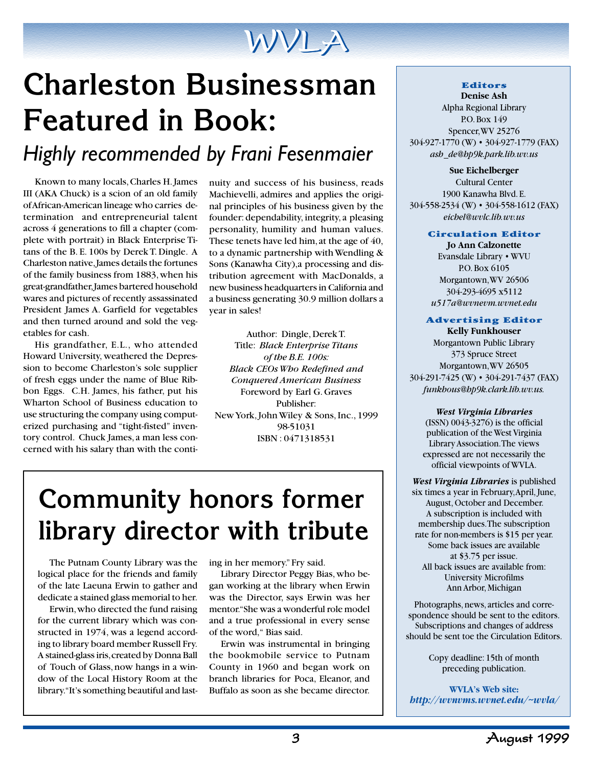

# **Charleston Businessman Featured in Book:** *Highly recommended by Frani Fesenmaier*

Known to many locals, Charles H. James III (AKA Chuck) is a scion of an old family of African-American lineage who carries determination and entrepreneurial talent across 4 generations to fill a chapter (complete with portrait) in Black Enterprise Titans of the B. E. 100s by Derek T. Dingle. A Charleston native, James details the fortunes of the family business from 1883, when his great-grandfather, James bartered household wares and pictures of recently assassinated President James A. Garfield for vegetables and then turned around and sold the vegetables for cash.

His grandfather, E.L., who attended Howard University, weathered the Depression to become Charleston's sole supplier of fresh eggs under the name of Blue Ribbon Eggs. C.H. James, his father, put his Wharton School of Business education to use structuring the company using computerized purchasing and "tight-fisted" inventory control. Chuck James, a man less concerned with his salary than with the continuity and success of his business, reads Machievelli, admires and applies the original principles of his business given by the founder: dependability, integrity, a pleasing personality, humility and human values. These tenets have led him, at the age of 40, to a dynamic partnership with Wendling & Sons (Kanawha City),a processing and distribution agreement with MacDonalds, a new business headquarters in California and a business generating 30.9 million dollars a year in sales!

Author: Dingle, Derek T. Title: *Black Enterprise Titans of the B.E. 100s: Black CEOs Who Redefined and Conquered American Business* Foreword by Earl G. Graves Publisher: New York, John Wiley & Sons, Inc., 1999 98-51031 ISBN : 0471318531

## **Community honors former library director with tribute**

The Putnam County Library was the logical place for the friends and family of the late Laeuna Erwin to gather and dedicate a stained glass memorial to her.

Erwin, who directed the fund raising for the current library which was constructed in 1974, was a legend according to library board member Russell Fry. A stained-glass iris, created by Donna Ball of Touch of Glass, now hangs in a window of the Local History Room at the library. "It's something beautiful and lasting in her memory." Fry said.

Library Director Peggy Bias, who began working at the library when Erwin was the Director, says Erwin was her mentor. "She was a wonderful role model and a true professional in every sense of the word," Bias said.

Erwin was instrumental in bringing the bookmobile service to Putnam County in 1960 and began work on branch libraries for Poca, Eleanor, and Buffalo as soon as she became director.

#### **Editors Denise Ash**

Alpha Regional Library P.O. Box 149 Spencer, WV 25276 304-927-1770 (W) • 304-927-1779 (FAX) *ash de@hp9k.park.lib.wv.us*

**Sue Eichelberger** Cultural Center 1900 Kanawha Blvd. E. 304-558-2534 (W) • 304-558-1612 (FAX) *eichel@wvlc.lib.wv.us*

#### **Circulation Editor**

**Jo Ann Calzonette** Evansdale Library • WVU P.O. Box 6105 Morgantown, WV 26506 304-293-4695 x5112 *u517a@wvnevm.wvnet.edu*

#### **Advertising Editor**

**Kelly Funkhouser** Morgantown Public Library 373 Spruce Street Morgantown, WV 26505 304-291-7425 (W) • 304-291-7437 (FAX) *funkhous@hp9k.clark.lib.wv.us.*

*West Virginia Libraries*

(ISSN) 0043-3276) is the official publication of the West Virginia Library Association. The views expressed are not necessarily the official viewpoints of WVLA.

*West Virginia Libraries* is published six times a year in February, April, June, August, October and December. A subscription is included with membership dues. The subscription rate for non-members is \$15 per year. Some back issues are available at \$3.75 per issue. All back issues are available from: University Microfilms Ann Arbor, Michigan

Photographs, news, articles and correspondence should be sent to the editors. Subscriptions and changes of address should be sent toe the Circulation Editors.

> Copy deadline: 15th of month preceding publication.

**WVLA's Web site:** *http://wvnvms.wvnet.edu/~wvla/*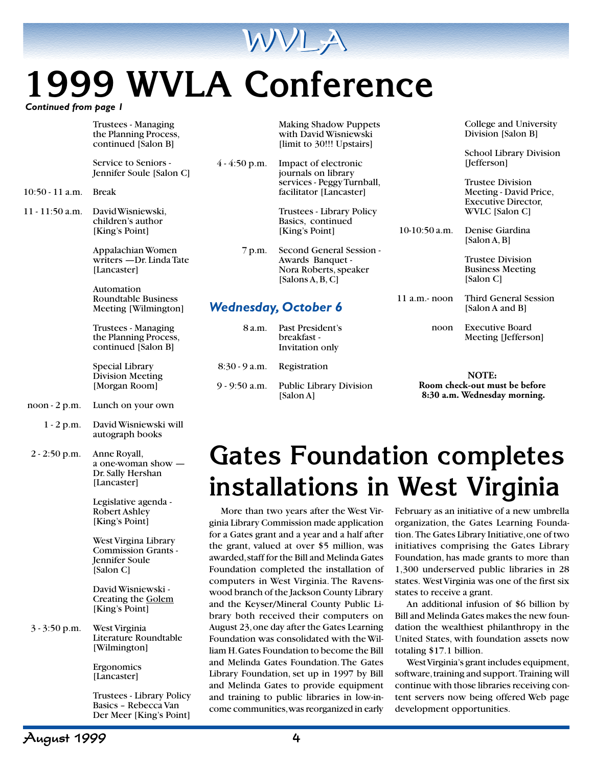

# **1999 WVLA Conference**

*Continued from page 1*

|                   | Trustees - Managing<br>the Planning Process,<br>continued [Salon B]        |                 | <b>Making Shadow Puppets</b><br>with David Wisniewski<br>[limit to 30!!! Upstairs]        |                 | College and University<br>Division [Salon B]                                    |
|-------------------|----------------------------------------------------------------------------|-----------------|-------------------------------------------------------------------------------------------|-----------------|---------------------------------------------------------------------------------|
|                   | Service to Seniors -<br>Jennifer Soule [Salon C]                           | $4 - 4:50$ p.m. | Impact of electronic<br>journals on library                                               |                 | <b>School Library Division</b><br>[Jefferson]                                   |
| $10:50 - 11$ a.m. | <b>Break</b>                                                               |                 | services - Peggy Turnball,<br>facilitator [Lancaster]                                     |                 | <b>Trustee Division</b><br>Meeting - David Price,<br><b>Executive Director,</b> |
| 11 - 11:50 a.m.   | David Wisniewski,                                                          |                 | Trustees - Library Policy                                                                 |                 | WVLC [Salon C]                                                                  |
|                   | children's author<br>[King's Point]                                        |                 | Basics, continued<br>[King's Point]                                                       | $10-10:50$ a.m. | Denise Giardina<br>[Salon A, B]                                                 |
|                   | Appalachian Women<br>writers - Dr. Linda Tate<br>[Lancaster]               | 7 p.m.          | Second General Session -<br>Awards Banquet -<br>Nora Roberts, speaker<br>[Salons A, B, C] |                 | <b>Trustee Division</b><br><b>Business Meeting</b><br>[Salon C]                 |
|                   | Automation<br><b>Roundtable Business</b><br>Meeting [Wilmington]           |                 | <b>Wednesday, October 6</b>                                                               | $11$ a.m.- noon | Third General Session<br>[Salon A and B]                                        |
|                   | <b>Trustees - Managing</b><br>the Planning Process,<br>continued [Salon B] | 8 a.m.          | Past President's<br>breakfast -<br>Invitation only                                        | noon            | <b>Executive Board</b><br>Meeting [Jefferson]                                   |
|                   | Special Library<br><b>Division Meeting</b>                                 | $8:30 - 9$ a.m. | Registration                                                                              |                 | NOTE:                                                                           |
|                   | [Morgan Room]                                                              | $9 - 9:50$ a.m. | Public Library Division<br>[Salon A]                                                      |                 | Room check-out must be before<br>8:30 a.m. Wednesday morning.                   |
| noon - 2 p.m.     | Lunch on your own                                                          |                 |                                                                                           |                 |                                                                                 |
| $1 - 2 p.m.$      | David Wisniewski will<br>autograph books                                   |                 |                                                                                           |                 |                                                                                 |
| $2 - 2:50$ p.m.   | Anne Royall,<br>a one-woman show —                                         |                 | <b>Gates Foundation completes</b>                                                         |                 |                                                                                 |

## **Gates Foundation completes installations in West Virginia**

More than two years after the West Virginia Library Commission made application for a Gates grant and a year and a half after the grant, valued at over \$5 million, was awarded, staff for the Bill and Melinda Gates Foundation completed the installation of computers in West Virginia. The Ravenswood branch of the Jackson County Library and the Keyser/Mineral County Public Library both received their computers on August 23, one day after the Gates Learning Foundation was consolidated with the William H. Gates Foundation to become the Bill and Melinda Gates Foundation. The Gates Library Foundation, set up in 1997 by Bill and Melinda Gates to provide equipment and training to public libraries in low-income communities, was reorganized in early

February as an initiative of a new umbrella organization, the Gates Learning Foundation. The Gates Library Initiative, one of two initiatives comprising the Gates Library Foundation, has made grants to more than 1,300 underserved public libraries in 28 states. West Virginia was one of the first six states to receive a grant.

An additional infusion of \$6 billion by Bill and Melinda Gates makes the new foundation the wealthiest philanthropy in the United States, with foundation assets now totaling \$17.1 billion.

West Virginia's grant includes equipment, software, training and support. Training will continue with those libraries receiving content servers now being offered Web page development opportunities.

3 - 3:50 p.m. West Virginia

Dr. Sally Hershan [Lancaster]

Legislative agenda - Robert Ashley [King's Point]

West Virgina Library Commission Grants - Jennifer Soule [Salon C]

David Wisniewski - Creating the Golem [King's Point]

Literature Roundtable

Trustees - Library Policy Basics – Rebecca Van Der Meer [King's Point]

[Wilmington] Ergonomics [Lancaster]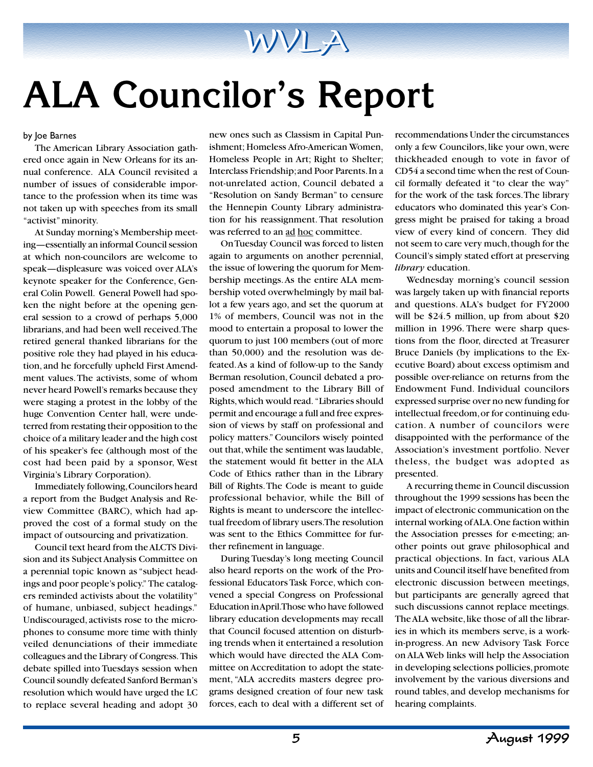

# **ALA Councilor's Report**

by Joe Barnes

The American Library Association gathered once again in New Orleans for its annual conference. ALA Council revisited a number of issues of considerable importance to the profession when its time was not taken up with speeches from its small "activist" minority.

At Sunday morning's Membership meeting—essentially an informal Council session at which non-councilors are welcome to speak—displeasure was voiced over ALA's keynote speaker for the Conference, General Colin Powell. General Powell had spoken the night before at the opening general session to a crowd of perhaps 5,000 librarians, and had been well received. The retired general thanked librarians for the positive role they had played in his education, and he forcefully upheld First Amendment values. The activists, some of whom never heard Powell's remarks because they were staging a protest in the lobby of the huge Convention Center hall, were undeterred from restating their opposition to the choice of a military leader and the high cost of his speaker's fee (although most of the cost had been paid by a sponsor, West Virginia's Library Corporation).

Immediately following, Councilors heard a report from the Budget Analysis and Review Committee (BARC), which had approved the cost of a formal study on the impact of outsourcing and privatization.

Council text heard from the ALCTS Division and its Subject Analysis Committee on a perennial topic known as "subject headings and poor people's policy." The catalogers reminded activists about the volatility" of humane, unbiased, subject headings." Undiscouraged, activists rose to the microphones to consume more time with thinly veiled denunciations of their immediate colleagues and the Library of Congress. This debate spilled into Tuesdays session when Council soundly defeated Sanford Berman's resolution which would have urged the LC to replace several heading and adopt 30

new ones such as Classism in Capital Punishment; Homeless Afro-American Women, Homeless People in Art; Right to Shelter; Interclass Friendship; and Poor Parents. In a not-unrelated action, Council debated a "Resolution on Sandy Berman" to censure the Hennepin County Library administration for his reassignment. That resolution was referred to an ad hoc committee.

On Tuesday Council was forced to listen again to arguments on another perennial, the issue of lowering the quorum for Membership meetings. As the entire ALA membership voted overwhelmingly by mail ballot a few years ago, and set the quorum at 1% of members, Council was not in the mood to entertain a proposal to lower the quorum to just 100 members (out of more than 50,000) and the resolution was defeated. As a kind of follow-up to the Sandy Berman resolution, Council debated a proposed amendment to the Library Bill of Rights, which would read. "Libraries should permit and encourage a full and free expression of views by staff on professional and policy matters." Councilors wisely pointed out that, while the sentiment was laudable, the statement would fit better in the ALA Code of Ethics rather than in the Library Bill of Rights. The Code is meant to guide professional behavior, while the Bill of Rights is meant to underscore the intellectual freedom of library users. The resolution was sent to the Ethics Committee for further refinement in language.

During Tuesday's long meeting Council also heard reports on the work of the Professional Educators Task Force, which convened a special Congress on Professional Education in April. Those who have followed library education developments may recall that Council focused attention on disturbing trends when it entertained a resolution which would have directed the ALA Committee on Accreditation to adopt the statement, "ALA accredits masters degree programs designed creation of four new task forces, each to deal with a different set of

recommendations Under the circumstances only a few Councilors, like your own, were thickheaded enough to vote in favor of CD54 a second time when the rest of Council formally defeated it "to clear the way" for the work of the task forces. The library educators who dominated this year's Congress might be praised for taking a broad view of every kind of concern. They did not seem to care very much, though for the Council's simply stated effort at preserving *library* education.

Wednesday morning's council session was largely taken up with financial reports and questions. ALA's budget for FY2000 will be \$24.5 million, up from about \$20 million in 1996. There were sharp questions from the floor, directed at Treasurer Bruce Daniels (by implications to the Executive Board) about excess optimism and possible over-reliance on returns from the Endowment Fund. Individual councilors expressed surprise over no new funding for intellectual freedom, or for continuing education. A number of councilors were disappointed with the performance of the Association's investment portfolio. Never theless, the budget was adopted as presented.

A recurring theme in Council discussion throughout the 1999 sessions has been the impact of electronic communication on the internal working of ALA. One faction within the Association presses for e-meeting; another points out grave philosophical and practical objections. In fact, various ALA units and Council itself have benefited from electronic discussion between meetings, but participants are generally agreed that such discussions cannot replace meetings. The ALA website, like those of all the libraries in which its members serve, is a workin-progress. An new Advisory Task Force on ALA Web links will help the Association in developing selections pollicies, promote involvement by the various diversions and round tables, and develop mechanisms for hearing complaints.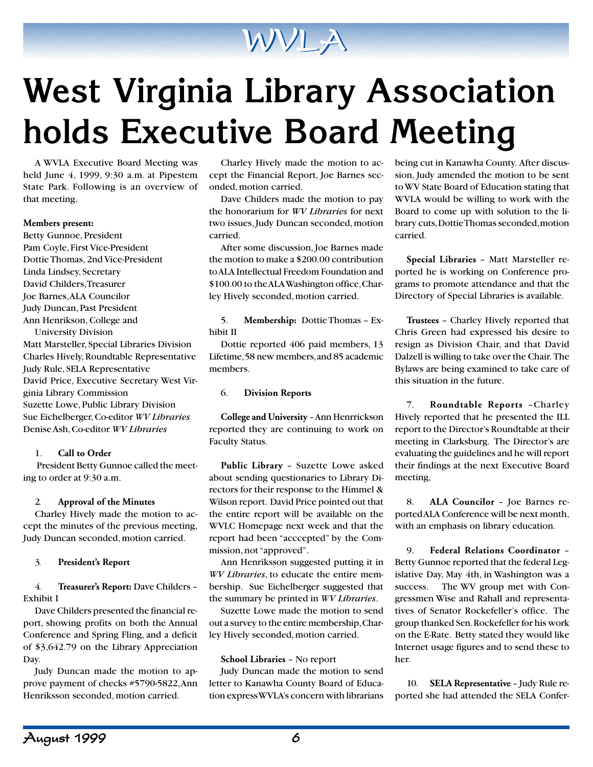

# **West Virginia Library Association holds Executive Board Meeting**

A WVLA Executive Board Meeting was held June 4, 1999, 9:30 a.m. at Pipestem State Park. Following is an overview of that meeting.

#### **Members present:**

Betty Gunnoe, President Pam Coyle, First Vice-President Dottie Thomas, 2nd Vice-President Linda Lindsey, Secretary David Childers, Treasurer Joe Barnes, ALA Councilor Judy Duncan, Past President Ann Henrikson, College and University Division Matt Marsteller, Special Libraries Division Charles Hively, Roundtable Representative Judy Rule, SELA Representative David Price, Executive Secretary West Virginia Library Commission Suzette Lowe, Public Library Division Sue Eichelberger, Co-editor *WV Libraries* Denise Ash, Co-editor *WV Libraries*

#### 1. **Call to Order**

 President Betty Gunnoe called the meeting to order at 9:30 a.m.

#### 2. **Approval of the Minutes**

Charley Hively made the motion to accept the minutes of the previous meeting, Judy Duncan seconded, motion carried.

#### 3. **President's Report**

4. **Treasurer's Report:** Dave Childers – Exhibit I

Dave Childers presented the financial report, showing profits on both the Annual Conference and Spring Fling, and a deficit of \$3,642.79 on the Library Appreciation Day.

Judy Duncan made the motion to approve payment of checks #5790-5822, Ann Henriksson seconded, motion carried.

Charley Hively made the motion to accept the Financial Report, Joe Barnes seconded, motion carried.

Dave Childers made the motion to pay the honorarium for *WV Libraries* for next two issues, Judy Duncan seconded, motion carried.

After some discussion, Joe Barnes made the motion to make a \$200.00 contribution to ALA Intellectual Freedom Foundation and \$100.00 to the ALA Washington office, Charley Hively seconded, motion carried.

5. **Membership:** Dottie Thomas – Exhibit II

Dottie reported 406 paid members, 13 Lifetime, 58 new members, and 85 academic members.

#### 6. **Division Reports**

**College and University** – Ann Henrrickson reported they are continuing to work on Faculty Status.

**Public Library** – Suzette Lowe asked about sending questionaries to Library Directors for their response to the Himmel & Wilson report. David Price pointed out that the entire report will be available on the WVLC Homepage next week and that the report had been "acccepted" by the Commission, not "approved".

Ann Henriksson suggested putting it in *WV Libraries*, to educate the entire membership. Sue Eichelberger suggested that the summary be printed in *WV Libraries*.

Suzette Lowe made the motion to send out a survey to the entire membership, Charley Hively seconded, motion carried.

#### **School Libraries** – No report

Judy Duncan made the motion to send letter to Kanawha County Board of Education express WVLA's concern with librarians being cut in Kanawha County. After discussion, Judy amended the motion to be sent to WV State Board of Education stating that WVLA would be willing to work with the Board to come up with solution to the library cuts, Dottie Thomas seconded, motion carried.

**Special Libraries** – Matt Marsteller reported he is working on Conference programs to promote attendance and that the Directory of Special Libraries is available.

**Trustees** – Charley Hively reported that Chris Green had expressed his desire to resign as Division Chair, and that David Dalzell is willing to take over the Chair. The Bylaws are being examined to take care of this situation in the future.

7. **Roundtable Reports** –Charley Hively reported that he presented the ILL report to the Director's Roundtable at their meeting in Clarksburg. The Director's are evaluating the guidelines and he will report their findings at the next Executive Board meeting,

8. **ALA Councilor** – Joe Barnes reported ALA Conference will be next month, with an emphasis on library education.

9. **Federal Relations Coordinator** – Betty Gunnoe reported that the federal Legislative Day, May 4th, in Washington was a success. The WV group met with Congressmen Wise and Rahall and representatives of Senator Rockefeller's office. The group thanked Sen. Rockefeller for his work on the E-Rate. Betty stated they would like Internet usage figures and to send these to her.

10. **SELA Representative** – Judy Rule reported she had attended the SELA Confer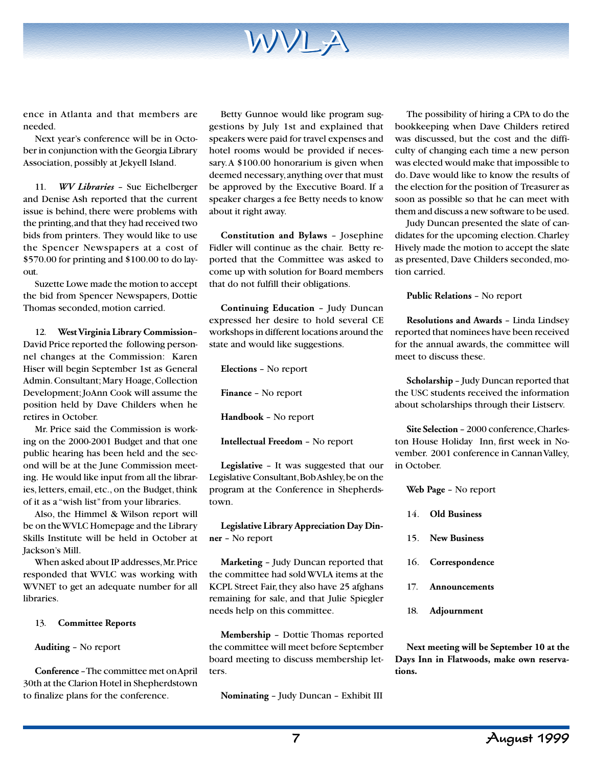ence in Atlanta and that members are needed.

Next year's conference will be in October in conjunction with the Georgia Library Association, possibly at Jekyell Island.

11. *WV Libraries* – Sue Eichelberger and Denise Ash reported that the current issue is behind, there were problems with the printing, and that they had received two bids from printers. They would like to use the Spencer Newspapers at a cost of \$570.00 for printing and \$100.00 to do layout.

Suzette Lowe made the motion to accept the bid from Spencer Newspapers, Dottie Thomas seconded, motion carried.

12. **West Virginia Library Commission**– David Price reported the following personnel changes at the Commission: Karen Hiser will begin September 1st as General Admin. Consultant; Mary Hoage, Collection Development; JoAnn Cook will assume the position held by Dave Childers when he retires in October.

Mr. Price said the Commission is working on the 2000-2001 Budget and that one public hearing has been held and the second will be at the June Commission meeting. He would like input from all the libraries, letters, email, etc., on the Budget, think of it as a "wish list" from your libraries.

Also, the Himmel & Wilson report will be on the WVLC Homepage and the Library Skills Institute will be held in October at Jackson's Mill.

When asked about IP addresses, Mr. Price responded that WVLC was working with WVNET to get an adequate number for all libraries.

#### 13. **Committee Reports**

**Auditing** – No report

**Conference** – The committee met on April 30th at the Clarion Hotel in Shepherdstown to finalize plans for the conference.

Betty Gunnoe would like program suggestions by July 1st and explained that speakers were paid for travel expenses and hotel rooms would be provided if necessary. A \$100.00 honorarium is given when deemed necessary, anything over that must be approved by the Executive Board. If a speaker charges a fee Betty needs to know about it right away.

WVLA

**Constitution and Bylaws** – Josephine Fidler will continue as the chair. Betty reported that the Committee was asked to come up with solution for Board members that do not fulfill their obligations.

**Continuing Education** – Judy Duncan expressed her desire to hold several CE workshops in different locations around the state and would like suggestions.

**Elections** – No report

**Finance** – No report

**Handbook** – No report

**Intellectual Freedom** – No report

**Legislative** – It was suggested that our Legislative Consultant, Bob Ashley, be on the program at the Conference in Shepherdstown.

**Legislative Library Appreciation Day Dinner** – No report

**Marketing** – Judy Duncan reported that the committee had sold WVLA items at the KCPL Street Fair, they also have 25 afghans remaining for sale, and that Julie Spiegler needs help on this committee.

**Membership** – Dottie Thomas reported the committee will meet before September board meeting to discuss membership letters.

**Nominating** – Judy Duncan – Exhibit III

The possibility of hiring a CPA to do the bookkeeping when Dave Childers retired was discussed, but the cost and the difficulty of changing each time a new person was elected would make that impossible to do. Dave would like to know the results of the election for the position of Treasurer as soon as possible so that he can meet with them and discuss a new software to be used.

Judy Duncan presented the slate of candidates for the upcoming election. Charley Hively made the motion to accept the slate as presented, Dave Childers seconded, motion carried.

**Public Relations** – No report

**Resolutions and Awards** – Linda Lindsey reported that nominees have been received for the annual awards, the committee will meet to discuss these.

**Scholarship** – Judy Duncan reported that the USC students received the information about scholarships through their Listserv.

**Site Selection** – 2000 conference, Charleston House Holiday Inn, first week in November. 2001 conference in Cannan Valley, in October.

- **Web Page** No report
- 14. **Old Business**
- 15. **New Business**
- 16. **Correspondence**
- 17. **Announcements**
- 18. **Adjournment**

**Next meeting will be September 10 at the Days Inn in Flatwoods, make own reservations.**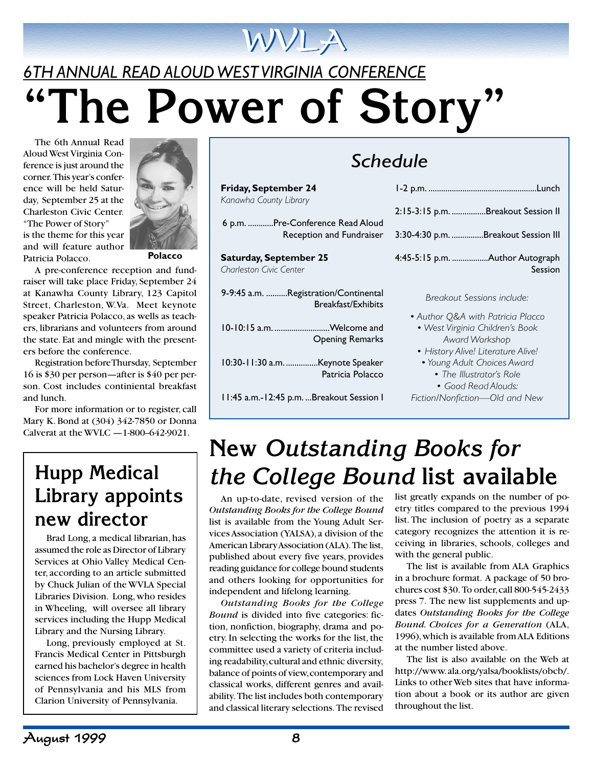# *6TH ANNUAL READ ALOUD WEST VIRGINIA CONFERENCE* **"The Power of Story"**

WVLA

The 6th Annual Read Aloud West Virginia Conference is just around the corner. This year's conference will be held Saturday, September 25 at the Charleston Civic Center. "The Power of Story" is the theme for this year and will feature author Patricia Polacco.



**Polacco**

A pre-conference reception and fundraiser will take place Friday, September 24 at Kanawha County Library, 123 Capitol Street, Charleston, W.Va. Meet keynote speaker Patricia Polacco, as wells as teachers, librarians and volunteers from around the state. Eat and mingle with the presenters before the conference.

Registration before Thursday, September 16 is \$30 per person—after is \$40 per person. Cost includes continiental breakfast and lunch.

For more information or to register, call Mary K. Bond at (304) 342-7850 or Donna Calverat at the WVLC  $-1-800-642-9021$ .

## **Hupp Medical Library appoints new director**

Brad Long, a medical librarian, has assumed the role as Director of Library Services at Ohio Valley Medical Center, according to an article submitted by Chuck Julian of the WVLA Special Libraries Division. Long, who resides in Wheeling, will oversee all library services including the Hupp Medical Library and the Nursing Library.

Long, previously employed at St. Francis Medical Center in Pittsburgh earned his bachelor's degree in health sciences from Lock Haven University of Pennsylvania and his MLS from Clarion University of Pennsylvania.

| Schedule                                                          |                                            |  |  |  |
|-------------------------------------------------------------------|--------------------------------------------|--|--|--|
| Friday, September 24                                              |                                            |  |  |  |
| Kanawha County Library                                            | 2:15-3:15 p.m. Breakout Session II         |  |  |  |
| 6 p.m. Pre-Conference Read Aloud<br>Reception and Fundraiser      | 3:30-4:30 p.m. Breakout Session III        |  |  |  |
| <b>Saturday, September 25</b><br>Charleston Civic Center          | 4:45-5:15 p.m. Author Autograph<br>Session |  |  |  |
| 9-9:45 a.m. Registration/Continental<br><b>Breakfast/Exhibits</b> | Breakout Sessions include:                 |  |  |  |

*• Author Q&A with Patricia Placco • West Virginia Children's Book Award Workshop*

- *History Alive! Literature Alive!*
- *Young Adult Choices Award*
	- *The Illustrator's Role • Good Read Alouds:*
- *Fiction/Nonfiction—Old and New*

## **New** *Outstanding Books for the College Bound* **list available**

An up-to-date, revised version of the *Outstanding Books for the College Bound* list is available from the Young Adult Services Association (YALSA), a division of the American Library Association (ALA). The list, published about every five years, provides reading guidance for college bound students and others looking for opportunities for independent and lifelong learning.

10-10:15 a.m. ..........................Welcome and

10:30-11:30 a.m. ...............Keynote Speaker

11:45 a.m.-12:45 p.m. ...Breakout Session I

Opening Remarks

Patricia Polacco

*Outstanding Books for the College Bound* is divided into five categories: fiction, nonfiction, biography, drama and poetry. In selecting the works for the list, the committee used a variety of criteria including readability, cultural and ethnic diversity, balance of points of view, contemporary and classical works, different genres and availability. The list includes both contemporary and classical literary selections. The revised

list greatly expands on the number of poetry titles compared to the previous 1994 list. The inclusion of poetry as a separate category recognizes the attention it is receiving in libraries, schools, colleges and with the general public.

The list is available from ALA Graphics in a brochure format. A package of 50 brochures cost \$30. To order, call 800-545-2433 press 7. The new list supplements and updates *Outstanding Books for the College Bound. Choices for a Generation* (ALA, 1996), which is available from ALA Editions at the number listed above.

The list is also available on the Web at http://www. ala.org/yalsa/booklists/obcb/. Links to other Web sites that have information about a book or its author are given throughout the list.

## *Schedule*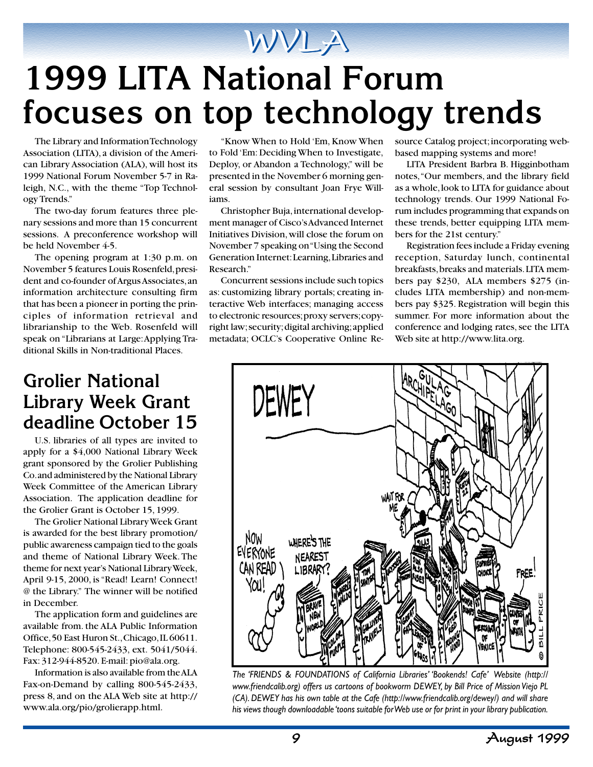## WVLA

# **1999 LITA National Forum focuses on top technology trends**

The Library and Information Technology Association (LITA), a division of the American Library Association (ALA), will host its 1999 National Forum November 5-7 in Raleigh, N.C., with the theme "Top Technology Trends."

The two-day forum features three plenary sessions and more than 15 concurrent sessions. A preconference workshop will be held November 4-5.

The opening program at 1:30 p.m. on November 5 features Louis Rosenfeld, president and co-founder of Argus Associates, an information architecture consulting firm that has been a pioneer in porting the principles of information retrieval and librarianship to the Web. Rosenfeld will speak on "Librarians at Large: Applying Traditional Skills in Non-traditional Places.

### **Grolier National Library Week Grant deadline October 15**

U.S. libraries of all types are invited to apply for a \$4,000 National Library Week grant sponsored by the Grolier Publishing Co. and administered by the National Library Week Committee of the American Library Association. The application deadline for the Grolier Grant is October 15, 1999.

The Grolier National Library Week Grant is awarded for the best library promotion/ public awareness campaign tied to the goals and theme of National Library Week. The theme for next year's National Library Week, April 9-15, 2000, is "Read! Learn! Connect! @ the Library." The winner will be notified in December.

The application form and guidelines are available from. the ALA Public Information Office, 50 East Huron St., Chicago, IL 60611. Telephone: 800-545-2433, ext. 5041/5044. Fax: 312-944-8520. E-mail: pio@ala.org.

Information is also available from the ALA Fax-on-Demand by calling 800-545-2433, press 8, and on the ALA Web site at http:// www.ala.org/pio/grolierapp.html.

"Know When to Hold 'Em, Know When to Fold 'Em: Deciding When to Investigate, Deploy, or Abandon a Technology," will be presented in the November 6 morning general session by consultant Joan Frye Williams.

Christopher Buja, international development manager of Cisco's Advanced Internet Initiatives Division, will close the forum on November 7 speaking on "Using the Second Generation Internet: Learning, Libraries and Research."

Concurrent sessions include such topics as: customizing library portals; creating interactive Web interfaces; managing access to electronic resources; proxy servers; copyright law; security; digital archiving; applied metadata; OCLC's Cooperative Online Resource Catalog project; incorporating webbased mapping systems and more!

LITA President Barbra B. Higginbotham notes, "Our members, and the library field as a whole, look to LITA for guidance about technology trends. Our 1999 National Forum includes programming that expands on these trends, better equipping LITA members for the 21st century."

Registration fees include a Friday evening reception, Saturday lunch, continental breakfasts, breaks and materials. LITA members pay \$230, ALA members \$275 (includes LITA membership) and non-members pay \$325. Registration will begin this summer. For more information about the conference and lodging rates, see the LITA Web site at http://www.lita.org.



*The 'FRIENDS & FOUNDATIONS of California Libraries' 'Bookends! Cafe' Website (http:// www.friendcalib.org) offers us cartoons of bookworm DEWEY, by Bill Price of Mission Viejo PL (CA). DEWEY has his own table at the Cafe (http://www.friendcalib.org/dewey/) and will share his views though downloadable 'toons suitable for Web use or for print in your library publication.*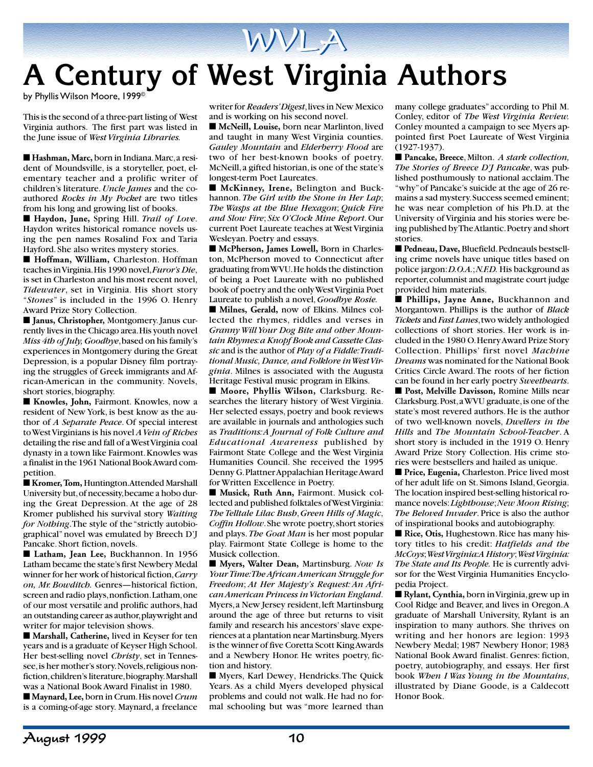

by Phyllis Wilson Moore, 1999©

This is the second of a three-part listing of West Virginia authors. The first part was listed in the June issue of *West Virginia Libraries.*

■ **Hashman, Marc, born in Indiana**. Marc, a resident of Moundsville, is a storyteller, poet, elementary teacher and a prolific writer of children's literature. *Uncle James* and the coauthored *Rocks in My Pocket* are two titles from his long and growing list of books.

■ Haydon, June, Spring Hill. *Trail of Love*. Haydon writes historical romance novels using the pen names Rosalind Fox and Taria Hayford. She also writes mystery stories.

■ **Hoffman, William, Charleston. Hoffman** teaches in Virginia. His 1990 novel, *Furor's Die*, is set in Charleston and his most recent novel, *Tidewater*, set in Virginia. His short story "*Stones*" is included in the 1996 O. Henry Award Prize Story Collection.

■ **Janus, Christopher, Montgomery. Janus cur**rently lives in the Chicago area. His youth novel *Miss 4th of July, Goodbye*, based on his family's experiences in Montgomery during the Great Depression, is a popular Disney film portraying the struggles of Greek immigrants and African-American in the community. Novels, short stories, biography.

■ **Knowles, John, Fairmont. Knowles, now a** resident of New York, is best know as the author of *A Separate Peace*. Of special interest to West Virginians is his novel *A Vein of Riches* detailing the rise and fall of a West Virginia coal dynasty in a town like Fairmont. Knowles was a finalist in the 1961 National Book Award competition.

■ **Kromer, Tom, Huntington.Attended Marshall** University but, of necessity, became a hobo during the Great Depression. At the age of 28 Kromer published his survival story *Waiting for Nothing*. The style of the "strictly autobiographical" novel was emulated by Breech D'J Pancake. Short fiction, novels.

■ Latham, Jean Lee, Buckhannon. In 1956 Latham became the state's first Newbery Medal winner for her work of historical fiction, *Carry on, Mr. Bowditch.* Genres—historical fiction, screen and radio plays, nonfiction. Latham, one of our most versatile and prolific authors, had an outstanding career as author, playwright and writer for major television shows.

■ Marshall, Catherine, lived in Keyser for ten years and is a graduate of Keyser High School. Her best-selling novel *Christy*, set in Tennessee, is her mother's story. Novels, religious nonfiction, children's literature, biography. Marshall was a National Book Award Finalist in 1980.

■ **Maynard**, Lee, born in Crum. His novel *Crum* is a coming-of-age story. Maynard, a freelance

writer for *Readers' Digest*, lives in New Mexico and is working on his second novel.

■ McNeill, Louise, born near Marlinton, lived and taught in many West Virginia counties. *Gauley Mountain* and *Elderberry Flood* are two of her best-known books of poetry. McNeill, a gifted historian, is one of the state's longest-term Poet Laureates.

■ **McKinney, Irene,** Belington and Buckhannon. *The Girl with the Stone in Her Lap*; *The Wasps at the Blue Hexagon*; *Quick Fire and Slow Fire*; *Six O'Clock Mine Report*. Our current Poet Laureate teaches at West Virginia Wesleyan. Poetry and essays.

■ McPherson, James Lowell, Born in Charleston, McPherson moved to Connecticut after graduating from WVU. He holds the distinction of being a Poet Laureate with no published book of poetry and the only West Virginia Poet Laureate to publish a novel, *Goodbye Rosie.*

■ Milnes, Gerald, now of Elkins. Milnes collected the rhymes, riddles and verses in *Granny Will Your Dog Bite and other Mountain Rhymes: a Knopf Book and Cassette Classic* and is the author of *Play of a Fiddle: Traditional Music, Dance, and Folklore in West Virginia*. Milnes is associated with the Augusta Heritage Festival music program in Elkins.

■ Moore, Phyllis Wilson, Clarksburg. Researches the literary history of West Virginia. Her selected essays, poetry and book reviews are available in journals and anthologies such as *Traditions: A Journal of Folk Culture and Educational Awareness* published by Fairmont State College and the West Virginia Humanities Council. She received the 1995 Denny G. Plattner Appalachian Heritage Award for Written Excellence in Poetry.

■ **Musick, Ruth Ann, Fairmont**. Musick collected and published folktales of West Virginia: *The Telltale Lilac Bush*, *Green Hills of Magic*, *Coffin Hollow*. She wrote poetry, short stories and plays. *The Goat Man* is her most popular play. Fairmont State College is home to the Musick collection.

■ **Myers, Walter Dean, Martinsburg**. *Now Is Your Time: The African American Struggle for Freedom*; *At Her Majesty's Request: An African American Princess in Victorian England*. Myers, a New Jersey resident, left Martinsburg around the age of three but returns to visit family and research his ancestors' slave experiences at a plantation near Martinsburg. Myers is the winner of five Coretta Scott King Awards and a Newbery Honor. He writes poetry, fiction and history.

■ Myers, Karl Dewey, Hendricks. The Quick Years. As a child Myers developed physical problems and could not walk. He had no formal schooling but was "more learned than

many college graduates" according to Phil M. Conley, editor of *The West Virginia Review.* Conley mounted a campaign to see Myers appointed first Poet Laureate of West Virginia (1927-1937).

■ **Pancake, Breece**, Milton. *A stark collection*, *The Stories of Breece D'J Pancake*, was published posthumously to national acclaim. The "why" of Pancake's suicide at the age of 26 remains a sad mystery. Success seemed eminent; he was near completion of his Ph.D. at the University of Virginia and his stories were being published by The Atlantic. Poetry and short stories.

■ **Pedneau, Dave, Bluefield. Pedneauls bestsell**ing crime novels have unique titles based on police jargon: *D.O.A.*; *N.F.D.* His background as reporter, columnist and magistrate court judge provided him materials.

■ **Phillips, Jayne Anne, Buckhannon and** Morgantown. Phillips is the author of *Black Tickets* and *Fast Lanes*, two widely anthologied collections of short stories. Her work is included in the 1980 O. Henry Award Prize Story Collection. Phillips' first novel *Machine Dreams* was nominated for the National Book Critics Circle Award. The roots of her fiction can be found in her early poetry *Sweethearts*.

■ **Post, Melville Davisson, Romine Mills near** Clarksburg. Post, a WVU graduate, is one of the state's most revered authors. He is the author of two well-known novels, *Dwellers in the Hills* and *The Mountain School-Teacher*. A short story is included in the 1919 O. Henry Award Prize Story Collection. His crime stories were bestsellers and hailed as unique.

■ **Price, Eugenia, Charleston. Price lived most** of her adult life on St. Simons Island, Georgia. The location inspired best-selling historical romance novels: *Lighthouse*; *New Moon Rising*; *The Beloved Invader*. Price is also the author of inspirational books and autobiography.

■ **Rice, Otis, Hughestown. Rice has many his**tory titles to his credit: *Hatfields and the McCoys*; *West Virginia: A History*; *West Virginia: The State and Its People.* He is currently advisor for the West Virginia Humanities Encyclopedia Project.

■ **Rylant, Cynthia,** born in Virginia, grew up in Cool Ridge and Beaver, and lives in Oregon. A graduate of Marshall University, Rylant is an inspiration to many authors. She thrives on writing and her honors are legion: 1993 Newbery Medal; 1987 Newbery Honor; 1983 National Book Award finalist. Genres: fiction, poetry, autobiography, and essays. Her first book *When I Was Young in the Mountains*, illustrated by Diane Goode, is a Caldecott Honor Book.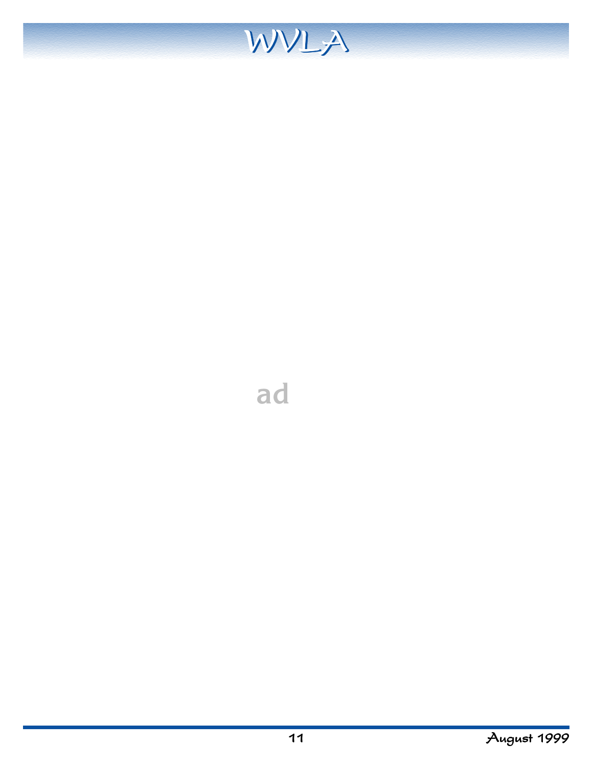

11 August 1999

**ad**